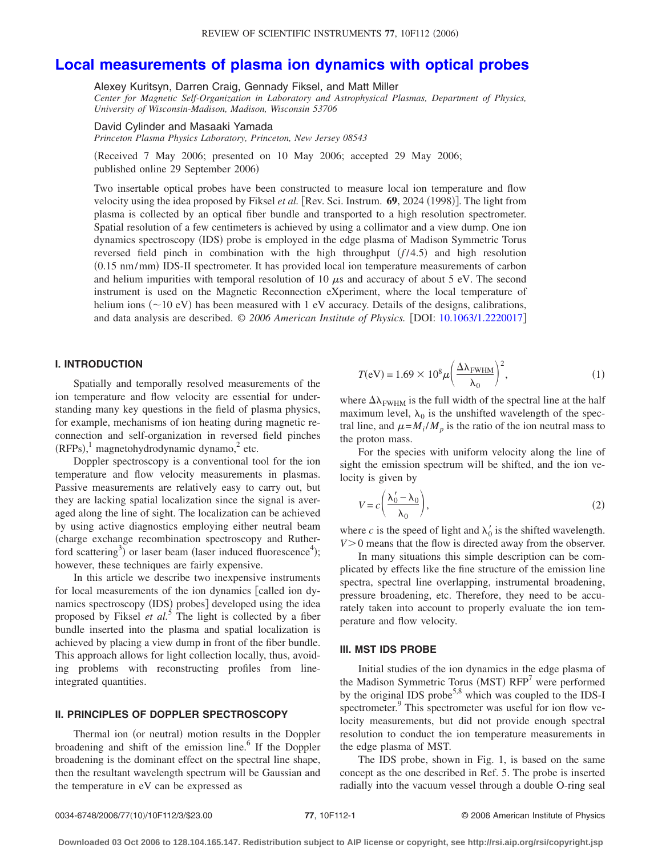# **[Local measurements of plasma ion dynamics with optical probes](http://dx.doi.org/10.1063/1.2220017)**

Alexey Kuritsyn, Darren Craig, Gennady Fiksel, and Matt Miller

*Center for Magnetic Self-Organization in Laboratory and Astrophysical Plasmas, Department of Physics, University of Wisconsin-Madison, Madison, Wisconsin 53706*

David Cylinder and Masaaki Yamada

*Princeton Plasma Physics Laboratory, Princeton, New Jersey 08543*

Received 7 May 2006; presented on 10 May 2006; accepted 29 May 2006; published online 29 September 2006)

Two insertable optical probes have been constructed to measure local ion temperature and flow velocity using the idea proposed by Fiksel et al. [Rev. Sci. Instrum. 69, 2024 (1998)]. The light from plasma is collected by an optical fiber bundle and transported to a high resolution spectrometer. Spatial resolution of a few centimeters is achieved by using a collimator and a view dump. One ion dynamics spectroscopy (IDS) probe is employed in the edge plasma of Madison Symmetric Torus reversed field pinch in combination with the high throughput  $(f/4.5)$  and high resolution (0.15 nm/mm) IDS-II spectrometer. It has provided local ion temperature measurements of carbon and helium impurities with temporal resolution of 10  $\mu$ s and accuracy of about 5 eV. The second instrument is used on the Magnetic Reconnection eXperiment, where the local temperature of helium ions ( $\sim$  10 eV) has been measured with 1 eV accuracy. Details of the designs, calibrations, and data analysis are described.  $\odot$  2006 American Institute of Physics. [DOI: [10.1063/1.2220017](http://dx.doi.org/10.1063/1.2220017)]

# **I. INTRODUCTION**

Spatially and temporally resolved measurements of the ion temperature and flow velocity are essential for understanding many key questions in the field of plasma physics, for example, mechanisms of ion heating during magnetic reconnection and self-organization in reversed field pinches  $(RFPs)$ ,<sup>1</sup> magnetohydrodynamic dynamo,<sup>2</sup> etc.

Doppler spectroscopy is a conventional tool for the ion temperature and flow velocity measurements in plasmas. Passive measurements are relatively easy to carry out, but they are lacking spatial localization since the signal is averaged along the line of sight. The localization can be achieved by using active diagnostics employing either neutral beam charge exchange recombination spectroscopy and Rutherford scattering<sup>3</sup>) or laser beam (laser induced fluorescence<sup>4</sup>); however, these techniques are fairly expensive.

In this article we describe two inexpensive instruments for local measurements of the ion dynamics [called ion dynamics spectroscopy (IDS) probes] developed using the idea proposed by Fiksel *et al.*<sup>5</sup> The light is collected by a fiber bundle inserted into the plasma and spatial localization is achieved by placing a view dump in front of the fiber bundle. This approach allows for light collection locally, thus, avoiding problems with reconstructing profiles from lineintegrated quantities.

# **II. PRINCIPLES OF DOPPLER SPECTROSCOPY**

Thermal ion (or neutral) motion results in the Doppler broadening and shift of the emission line. $6$  If the Doppler broadening is the dominant effect on the spectral line shape, then the resultant wavelength spectrum will be Gaussian and the temperature in eV can be expressed as

$$
T(eV) = 1.69 \times 10^8 \mu \left(\frac{\Delta \lambda_{\text{FWHM}}}{\lambda_0}\right)^2, \tag{1}
$$

where  $\Delta\lambda_{\rm FWHM}$  is the full width of the spectral line at the half maximum level,  $\lambda_0$  is the unshifted wavelength of the spectral line, and  $\mu = M_i / M_p$  is the ratio of the ion neutral mass to the proton mass.

For the species with uniform velocity along the line of sight the emission spectrum will be shifted, and the ion velocity is given by

$$
V = c \left( \frac{\lambda_0' - \lambda_0}{\lambda_0} \right),\tag{2}
$$

where *c* is the speed of light and  $\lambda'_0$  is the shifted wavelength. *V*>0 means that the flow is directed away from the observer.

In many situations this simple description can be complicated by effects like the fine structure of the emission line spectra, spectral line overlapping, instrumental broadening, pressure broadening, etc. Therefore, they need to be accurately taken into account to properly evaluate the ion temperature and flow velocity.

#### **III. MST IDS PROBE**

Initial studies of the ion dynamics in the edge plasma of the Madison Symmetric Torus (MST) RFP<sup>7</sup> were performed by the original IDS probe<sup>5,8</sup> which was coupled to the IDS-I spectrometer.<sup>9</sup> This spectrometer was useful for ion flow velocity measurements, but did not provide enough spectral resolution to conduct the ion temperature measurements in the edge plasma of MST.

The IDS probe, shown in Fig. 1, is based on the same concept as the one described in Ref. 5. The probe is inserted radially into the vacuum vessel through a double O-ring seal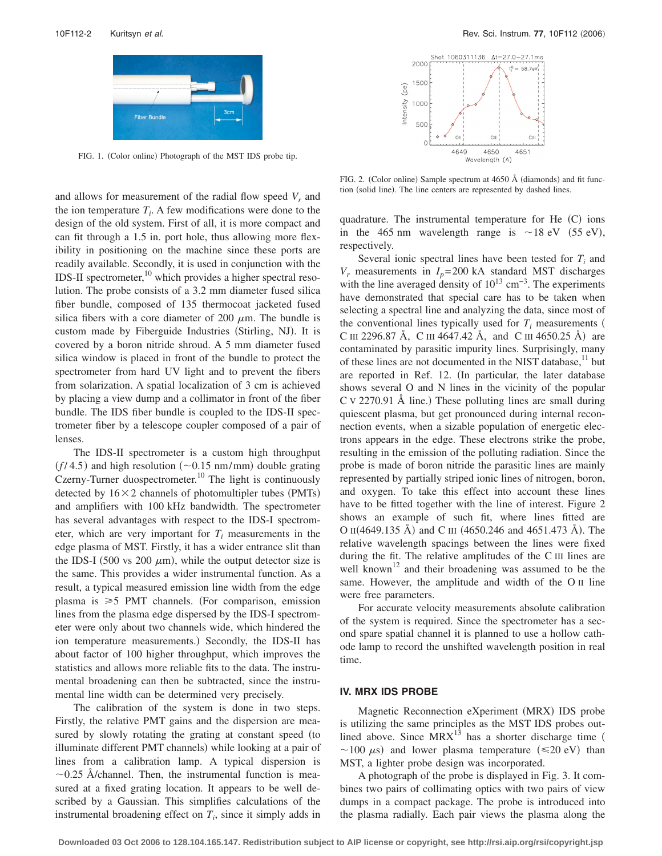

FIG. 1. (Color online) Photograph of the MST IDS probe tip.

and allows for measurement of the radial flow speed  $V_r$  and the ion temperature  $T_i$ . A few modifications were done to the design of the old system. First of all, it is more compact and can fit through a 1.5 in. port hole, thus allowing more flexibility in positioning on the machine since these ports are readily available. Secondly, it is used in conjunction with the IDS-II spectrometer, $^{10}$  which provides a higher spectral resolution. The probe consists of a 3.2 mm diameter fused silica fiber bundle, composed of 135 thermocoat jacketed fused silica fibers with a core diameter of 200  $\mu$ m. The bundle is custom made by Fiberguide Industries (Stirling, NJ). It is covered by a boron nitride shroud. A 5 mm diameter fused silica window is placed in front of the bundle to protect the spectrometer from hard UV light and to prevent the fibers from solarization. A spatial localization of 3 cm is achieved by placing a view dump and a collimator in front of the fiber bundle. The IDS fiber bundle is coupled to the IDS-II spectrometer fiber by a telescope coupler composed of a pair of lenses.

The IDS-II spectrometer is a custom high throughput  $(f/4.5)$  and high resolution ( $\sim$ 0.15 nm/mm) double grating Czerny-Turner duospectrometer.<sup>10</sup> The light is continuously detected by  $16 \times 2$  channels of photomultipler tubes (PMTs) and amplifiers with 100 kHz bandwidth. The spectrometer has several advantages with respect to the IDS-I spectrometer, which are very important for  $T_i$  measurements in the edge plasma of MST. Firstly, it has a wider entrance slit than the IDS-I (500 vs 200  $\mu$ m), while the output detector size is the same. This provides a wider instrumental function. As a result, a typical measured emission line width from the edge plasma is  $\geq 5$  PMT channels. (For comparison, emission lines from the plasma edge dispersed by the IDS-I spectrometer were only about two channels wide, which hindered the ion temperature measurements.) Secondly, the IDS-II has about factor of 100 higher throughput, which improves the statistics and allows more reliable fits to the data. The instrumental broadening can then be subtracted, since the instrumental line width can be determined very precisely.

The calibration of the system is done in two steps. Firstly, the relative PMT gains and the dispersion are measured by slowly rotating the grating at constant speed (to illuminate different PMT channels) while looking at a pair of lines from a calibration lamp. A typical dispersion is  $\sim$ 0.25 Å/channel. Then, the instrumental function is measured at a fixed grating location. It appears to be well described by a Gaussian. This simplifies calculations of the instrumental broadening effect on  $T_i$ , since it simply adds in



FIG. 2. (Color online) Sample spectrum at 4650 Å (diamonds) and fit function (solid line). The line centers are represented by dashed lines.

quadrature. The instrumental temperature for He (C) ions in the 465 nm wavelength range is  $\sim$  18 eV (55 eV), respectively.

Several ionic spectral lines have been tested for  $T_i$  and  $V_r$  measurements in  $I_p$ = 200 kA standard MST discharges with the line averaged density of  $10^{13}$  cm<sup>-3</sup>. The experiments have demonstrated that special care has to be taken when selecting a spectral line and analyzing the data, since most of the conventional lines typically used for  $T_i$  measurements ( C III 2296.87 Å, C III 4647.42 Å, and C III 4650.25 Å) are contaminated by parasitic impurity lines. Surprisingly, many of these lines are not documented in the NIST database,<sup>11</sup> but are reported in Ref. 12. In particular, the later database shows several O and N lines in the vicinity of the popular  $C$  v 2270.91 Å line.) These polluting lines are small during quiescent plasma, but get pronounced during internal reconnection events, when a sizable population of energetic electrons appears in the edge. These electrons strike the probe, resulting in the emission of the polluting radiation. Since the probe is made of boron nitride the parasitic lines are mainly represented by partially striped ionic lines of nitrogen, boron, and oxygen. To take this effect into account these lines have to be fitted together with the line of interest. Figure 2 shows an example of such fit, where lines fitted are O II(4649.135 Å) and C III (4650.246 and 4651.473 Å). The relative wavelength spacings between the lines were fixed during the fit. The relative amplitudes of the C III lines are well known<sup>12</sup> and their broadening was assumed to be the same. However, the amplitude and width of the O II line were free parameters.

For accurate velocity measurements absolute calibration of the system is required. Since the spectrometer has a second spare spatial channel it is planned to use a hollow cathode lamp to record the unshifted wavelength position in real time.

## **IV. MRX IDS PROBE**

Magnetic Reconnection eXperiment (MRX) IDS probe is utilizing the same principles as the MST IDS probes outlined above. Since  $MRX^{13}$  has a shorter discharge time ( ~100  $\mu$ s) and lower plasma temperature ( $\leq$ 20 eV) than MST, a lighter probe design was incorporated.

A photograph of the probe is displayed in Fig. 3. It combines two pairs of collimating optics with two pairs of view dumps in a compact package. The probe is introduced into the plasma radially. Each pair views the plasma along the